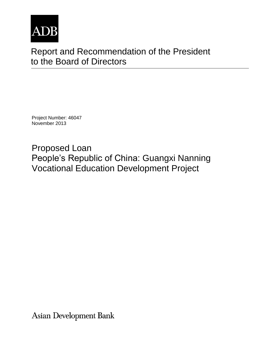

# Report and Recommendation of the President to the Board of Directors

Project Number: 46047 November 2013

Proposed Loan People's Republic of China: Guangxi Nanning Vocational Education Development Project

**Asian Development Bank**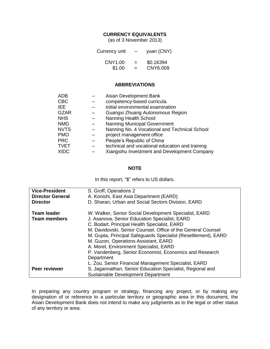#### **CURRENCY EQUIVALENTS**

(as of 3 November 2013)

| Currency unit | -   | yuan (CNY) |
|---------------|-----|------------|
| CNY1.00       | $=$ | \$0.16394  |
| \$1.00        | $=$ | CNY6.009   |

## **ABBREVIATIONS**

| <b>ADB</b>  | Asian Development Bank                          |
|-------------|-------------------------------------------------|
| <b>CBC</b>  | competency-based curricula                      |
| IEE.        | initial environmental examination               |
| <b>GZAR</b> | Guangxi Zhuang Autonomous Region                |
| <b>NHS</b>  | Nanning Health School                           |
| <b>NMG</b>  | <b>Nanning Municipal Government</b>             |
| <b>NVTS</b> | Nanning No. 4 Vocational and Technical School   |
| <b>PMO</b>  | project management office                       |
| <b>PRC</b>  | People's Republic of China                      |
| <b>TVET</b> | technical and vocational education and training |
| <b>XIDC</b> | Xiangsihu Investment and Development Company    |
|             |                                                 |

#### **NOTE**

In this report, "\$" refers to US dollars.

| <b>Vice-President</b><br><b>Director General</b><br><b>Director</b> | S. Groff, Operations 2<br>A. Konishi, East Asia Department (EARD)<br>D. Sharan, Urban and Social Sectors Division, EARD                                                                                                                                                                                                                                                                                                                             |
|---------------------------------------------------------------------|-----------------------------------------------------------------------------------------------------------------------------------------------------------------------------------------------------------------------------------------------------------------------------------------------------------------------------------------------------------------------------------------------------------------------------------------------------|
| <b>Team leader</b><br><b>Team members</b>                           | W. Walker, Senior Social Development Specialist, EARD<br>J. Asanova, Senior Education Specialist, EARD<br>C. Bodart, Principal Health Specialist, EARD<br>M. Davidovski, Senior Counsel, Office of the General Counsel<br>M. Gupta, Principal Safeguards Specialist (Resettlement), EARD<br>M. Guzon, Operations Assistant, EARD<br>A. Morel, Environment Specialist, EARD<br>P. Vandenberg, Senior Economist, Economics and Research<br>Department |
| Peer reviewer                                                       | L. Zou, Senior Financial Management Specialist, EARD<br>S. Jagannathan, Senior Education Specialist, Regional and<br>Sustainable Development Department                                                                                                                                                                                                                                                                                             |

In preparing any country program or strategy, financing any project, or by making any designation of or reference to a particular territory or geographic area in this document, the Asian Development Bank does not intend to make any judgments as to the legal or other status of any territory or area.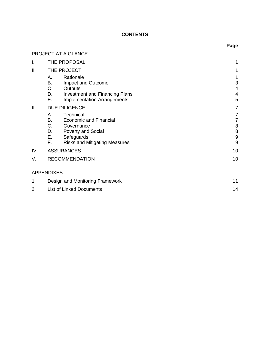# **CONTENTS**

|      |                                                                                                                                                                 | Page                                                                             |
|------|-----------------------------------------------------------------------------------------------------------------------------------------------------------------|----------------------------------------------------------------------------------|
|      | PROJECT AT A GLANCE                                                                                                                                             |                                                                                  |
| I.   | THE PROPOSAL                                                                                                                                                    | 1                                                                                |
| ΙΙ.  | THE PROJECT                                                                                                                                                     | 1                                                                                |
|      | Rationale<br>А.<br>В.<br>Impact and Outcome<br>C<br>Outputs<br>D.<br><b>Investment and Financing Plans</b><br>Е.<br><b>Implementation Arrangements</b>          | 1<br>$\ensuremath{\mathsf{3}}$<br>$\overline{4}$<br>$\overline{\mathbf{4}}$<br>5 |
| III. | DUE DILIGENCE                                                                                                                                                   | $\overline{7}$                                                                   |
|      | Technical<br>А.<br><b>Economic and Financial</b><br>В.<br>C. Governance<br>D. Poverty and Social<br>E. Safeguards<br>F.<br><b>Risks and Mitigating Measures</b> | $\boldsymbol{7}$<br>$\boldsymbol{7}$<br>$\bf 8$<br>8<br>$\boldsymbol{9}$<br>9    |
| IV.  | <b>ASSURANCES</b>                                                                                                                                               | 10                                                                               |
| V.   | <b>RECOMMENDATION</b>                                                                                                                                           | 10                                                                               |
|      | <b>APPENDIXES</b>                                                                                                                                               |                                                                                  |
| 1.   | Design and Monitoring Framework                                                                                                                                 | 11                                                                               |
| 2.   | <b>List of Linked Documents</b>                                                                                                                                 | 14                                                                               |
|      |                                                                                                                                                                 |                                                                                  |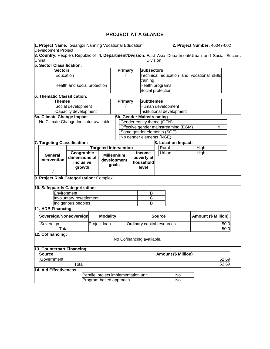## **PROJECT AT A GLANCE**

|             | 1. Project Name: Guangxi Nanning Vocational Education                                                  |                              |                                      |                 |                              |                |                           |                            |                                      | 2. Project Number: 46047-002              |   |       |
|-------------|--------------------------------------------------------------------------------------------------------|------------------------------|--------------------------------------|-----------------|------------------------------|----------------|---------------------------|----------------------------|--------------------------------------|-------------------------------------------|---|-------|
|             | <b>Development Project</b>                                                                             |                              |                                      |                 |                              |                |                           |                            |                                      |                                           |   |       |
|             | 3. Country: People's Republic of 4. Department/Division: East Asia Department/Urban and Social Sectors |                              |                                      |                 |                              |                |                           |                            |                                      |                                           |   |       |
| China       |                                                                                                        |                              |                                      |                 |                              |                | <b>Division</b>           |                            |                                      |                                           |   |       |
|             | 5. Sector Classification:                                                                              |                              |                                      |                 |                              |                |                           |                            |                                      |                                           |   |       |
|             | <b>Sectors</b>                                                                                         |                              |                                      |                 |                              | Primary        | <b>Subsectors</b>         |                            |                                      |                                           |   |       |
|             | Education                                                                                              |                              |                                      |                 |                              |                |                           |                            |                                      | Technical education and vocational skills |   |       |
|             |                                                                                                        |                              |                                      |                 |                              |                | training                  |                            |                                      |                                           |   |       |
|             |                                                                                                        | Health and social protection |                                      |                 |                              |                | Health programs           |                            |                                      |                                           |   |       |
|             |                                                                                                        |                              |                                      |                 |                              |                | Social protection         |                            |                                      |                                           |   |       |
|             | 6. Thematic Classification:                                                                            |                              |                                      |                 |                              |                |                           |                            |                                      |                                           |   |       |
|             | Themes                                                                                                 |                              |                                      |                 |                              | <b>Primary</b> | <b>Subthemes</b>          |                            |                                      |                                           |   |       |
|             |                                                                                                        | Social development           |                                      |                 |                              |                |                           | Human development          |                                      |                                           |   |       |
|             |                                                                                                        | Capacity development         |                                      |                 |                              |                |                           | Institutional development  |                                      |                                           |   |       |
|             | 6a. Climate Change Impact                                                                              |                              |                                      |                 |                              |                | 6b. Gender Mainstreaming  |                            |                                      |                                           |   |       |
|             | No Climate Change Indicator available.                                                                 |                              |                                      |                 |                              |                | Gender equity theme (GEN) |                            |                                      |                                           |   |       |
|             |                                                                                                        |                              |                                      |                 |                              |                |                           |                            | Effective gender mainstreaming (EGM) |                                           | V |       |
|             |                                                                                                        |                              |                                      |                 |                              |                |                           | Some gender elements (SGE) |                                      |                                           |   |       |
|             |                                                                                                        |                              |                                      |                 |                              |                | No gender elements (NGE)  |                            |                                      |                                           |   |       |
|             | 7. Targeting Classification:                                                                           |                              |                                      |                 |                              |                |                           |                            | 8. Location Impact:                  |                                           |   |       |
|             |                                                                                                        |                              |                                      |                 | <b>Targeted Intervention</b> |                |                           | Rural                      |                                      | High                                      |   |       |
|             | General                                                                                                | Geographic                   |                                      |                 | <b>Millennium</b>            |                | <b>Income</b>             | Urban                      |                                      | High                                      |   |       |
|             | <b>Intervention</b>                                                                                    | dimensions of                |                                      |                 | development                  |                | poverty at                |                            |                                      |                                           |   |       |
|             |                                                                                                        | inclusive                    |                                      |                 | goals                        |                | household                 |                            |                                      |                                           |   |       |
|             |                                                                                                        | growth                       |                                      |                 |                              |                | level                     |                            |                                      |                                           |   |       |
|             |                                                                                                        |                              |                                      |                 |                              |                |                           |                            |                                      |                                           |   |       |
|             | 9. Project Risk Categorization: Complex                                                                |                              |                                      |                 |                              |                |                           |                            |                                      |                                           |   |       |
|             |                                                                                                        |                              |                                      |                 |                              |                |                           |                            |                                      |                                           |   |       |
|             | 10. Safeguards Categorization:                                                                         |                              |                                      |                 |                              |                |                           |                            |                                      |                                           |   |       |
| Environment |                                                                                                        |                              | В                                    |                 |                              |                |                           |                            |                                      |                                           |   |       |
|             |                                                                                                        | Involuntary resettlement     |                                      |                 |                              |                | C                         |                            |                                      |                                           |   |       |
|             |                                                                                                        | Indigenous peoples           |                                      |                 |                              |                | B                         |                            |                                      |                                           |   |       |
|             | 11. ADB Financing:                                                                                     |                              |                                      |                 |                              |                |                           |                            |                                      |                                           |   |       |
|             | Sovereign/Nonsovereign                                                                                 |                              |                                      | <b>Modality</b> |                              |                |                           | <b>Source</b>              |                                      | <b>Amount (\$ Million)</b>                |   |       |
|             |                                                                                                        |                              |                                      |                 |                              |                |                           |                            |                                      |                                           |   |       |
|             | Sovereign                                                                                              |                              |                                      | Project Ioan    |                              |                |                           | Ordinary capital resources |                                      |                                           |   | 50.0  |
|             | Total                                                                                                  |                              |                                      |                 |                              |                |                           |                            |                                      |                                           |   | 50.0  |
|             | 12. Cofinancing:                                                                                       |                              |                                      |                 |                              |                |                           |                            |                                      |                                           |   |       |
|             |                                                                                                        |                              |                                      |                 |                              |                | No Cofinancing available. |                            |                                      |                                           |   |       |
|             | 13. Counterpart Financing:                                                                             |                              |                                      |                 |                              |                |                           |                            |                                      |                                           |   |       |
|             | <b>Source</b>                                                                                          |                              |                                      |                 |                              |                |                           |                            | <b>Amount (\$ Million)</b>           |                                           |   |       |
|             | Government                                                                                             |                              |                                      |                 |                              |                |                           |                            |                                      |                                           |   | 52.69 |
|             |                                                                                                        | Total                        |                                      |                 |                              |                |                           |                            |                                      |                                           |   | 52.69 |
|             | 14. Aid Effectiveness:                                                                                 |                              |                                      |                 |                              |                |                           |                            |                                      |                                           |   |       |
|             |                                                                                                        |                              | Parallel project implementation unit |                 |                              |                |                           |                            | No                                   |                                           |   |       |
|             |                                                                                                        |                              | Program-based approach               |                 |                              |                |                           |                            | No                                   |                                           |   |       |
|             |                                                                                                        |                              |                                      |                 |                              |                |                           |                            |                                      |                                           |   |       |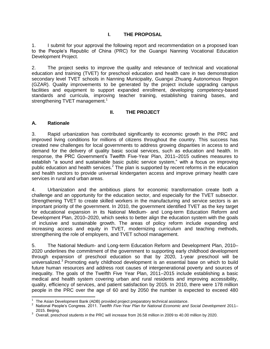## **I. THE PROPOSAL**

<span id="page-4-0"></span>1. I submit for your approval the following report and recommendation on a proposed loan to the People's Republic of China (PRC) for the Guangxi Nanning Vocational Education Development Project.

2. The project seeks to improve the quality and relevance of technical and vocational education and training (TVET) for preschool education and health care in two demonstration secondary level TVET schools in Nanning Municipality, Guangxi Zhuang Autonomous Region (GZAR). Quality improvements to be generated by the project include upgrading campus facilities and equipment to support expanded enrollment, developing competency-based standards and curricula, improving teacher training, establishing training bases, and strengthening TVET management.<sup>1</sup>

## **II. THE PROJECT**

## <span id="page-4-2"></span><span id="page-4-1"></span>**A. Rationale**

3. Rapid urbanization has contributed significantly to economic growth in the PRC and improved living conditions for millions of citizens throughout the country. This success has created new challenges for local governments to address growing disparities in access to and demand for the delivery of quality basic social services, such as education and health. In response, the PRC Government's Twelfth Five-Year Plan, 2011–2015 outlines measures to establish "a sound and sustainable basic public service system," with a focus on improving public education and health services.<sup>2</sup> The plan is supported by recent reforms in the education and health sectors to provide universal kindergarten access and improve primary health care services in rural and urban areas.

4. Urbanization and the ambitious plans for economic transformation create both a challenge and an opportunity for the education sector, and especially for the TVET subsector. Strengthening TVET to create skilled workers in the manufacturing and service sectors is an important priority of the government. In 2010, the government identified TVET as the key target for educational expansion in its National Medium- and Long-term Education Reform and Development Plan, 2010–2020, which seeks to better align the education system with the goals of inclusive and sustainable growth. The areas of policy reform include expanding and increasing access and equity in TVET, modernizing curriculum and teaching methods, strengthening the role of employers, and TVET school management.

5. The National Medium- and Long-term Education Reform and Development Plan, 2010– 2020 underlines the commitment of the government to supporting early childhood development through expansion of preschool education so that by 2020, 1-year preschool will be universalized.<sup>3</sup> Promoting early childhood development is an essential base on which to build future human resources and address root causes of intergenerational poverty and sources of inequality. The goals of the Twelfth Five Year Plan, 2011–2015 include establishing a basic medical and health system covering urban and rural residents and improving accessibility, quality, efficiency of services, and patient satisfaction by 2015. In 2010, there were 178 million people in the PRC over the age of 60 and by 2050 the number is expected to exceed 480

 $\overline{a}$ 1 The Asian Development Bank (ADB) provided project preparatory technical assistance.

<sup>2</sup> National People's Congress. 2011. *Twelfth Five-Year Plan for National Economic and Social Development* 2011– 2015. Beijing.

<sup>3</sup> Overall, preschool students in the PRC will increase from 26.58 million in 2009 to 40.00 million by 2020.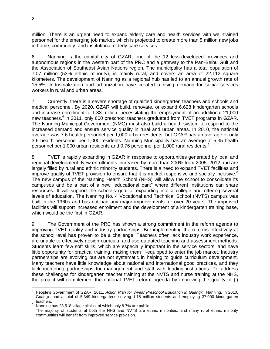million. There is an urgent need to expand elderly care and health services with well-trained personnel for the emerging job market, which is projected to create more than 5 million new jobs in home, community, and institutional elderly care services.

6. Nanning is the capital city of GZAR, one of the 12 less-developed provinces and autonomous regions in the western part of the PRC and a gateway to the Pan-Beibu Gulf and the Association of Southeast Asian Nations region. The municipality has a total population of 7.07 million (53% ethnic minority), is mainly rural, and covers an area of 22,112 square kilometers. The development of Nanning as a regional hub has led to an annual growth rate of 15.5%. Industrialization and urbanization have created a rising demand for social services workers in rural and urban areas.

7. Currently, there is a severe shortage of qualified kindergarten teachers and schools and medical personnel. By 2020. GZAR will build, renovate, or expand 6,628 kindergarten schools and increase enrollment to 1.33 million, necessitating the employment of an additional 21,000 new teachers.<sup>4</sup> In 2011, only 600 preschool teachers graduated from TVET programs in GZAR. The Nanning Municipal Government (NMG) must also build a health system to respond to the increased demand and ensure service quality in rural and urban areas. In 2010, the national average was 7.6 health personnel per 1,000 urban residents, but GZAR has an average of only 3.6 health personnel per 1,000 residents. Nanning Municipality has an average of 5.35 health personnel per 1,000 urban residents and 0.76 personnel per 1,000 rural residents.<sup>5</sup>

8. TVET is rapidly expanding in GZAR in response to opportunities generated by local and regional development. New enrollments increased by more than 200% from 2005–2012 and are largely filled by rural and ethnic minority students. There is a need to expand TVET facilities and improve quality of TVET provision to ensure that it is market responsive and socially inclusive.<sup>6</sup> The new campus of the Nanning Health School (NHS) will allow the school to consolidate its campuses and be a part of a new "educational park" where different institutions can share resources. It will support the school's goal of expanding into a college and offering several levels of education. The Nanning No. 4 Vocational and Technical School (NVTS) campus was built in the 1960s and has not had any major improvements for over 20 years. The improved facilities will support increased enrollment and the development of a kindergarten training base, which would be the first in GZAR.

9. The Government of the PRC has shown a strong commitment in the reform agenda to improving TVET quality and industry partnerships. But implementing the reforms effectively at the school level has proven to be a challenge. Teachers often lack industry work experience, are unable to effectively design curricula, and use outdated teaching and assessment methods. Students learn few soft skills, which are especially important in the service sectors, and have little opportunity for practical training, making them ill-equipped to enter the job market. Industry partnerships are evolving but are not systematic in helping to guide curriculum development. Many teachers have little knowledge about national and international good practices, and they lack mentoring partnerships for management and staff with leading institutions. To address these challenges for kindergarten teacher training at the NVTS and nurse training at the NHS, the project will complement the national TVET reform agenda by improving the quality of (i)

 4 People's Government of GZAR. 2011. *Action Plan for 3-year Preschool Education in Guangxi*. Nanning. In 2010, Guangxi had a total of 5,349 kindergartens serving 1.18 million students and employing 37,000 kindergarten teachers.

<sup>5</sup> Nanning has 23,518 village clinics, of which only 8.7% are public.

<sup>6</sup> The majority of students at both the NHS and NVTS are ethnic minorities, and many rural ethnic minority communities will benefit from improved service provision.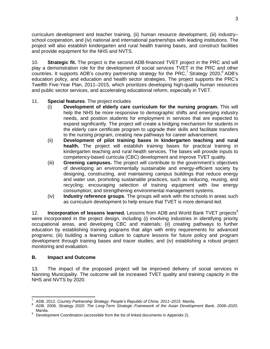curriculum development and teacher training, (ii) human resource development, (iii) industry– school cooperation, and (iv) national and international partnerships with leading institutions. The project will also establish kindergarten and rural health training bases, and construct facilities and provide equipment for the NHS and NVTS.

10. **Strategic fit.** The project is the second ADB-financed TVET project in the PRC and will play a demonstration role for the development of social services TVET in the PRC and other countries. It supports ADB's country partnership strategy for the PRC,<sup>7</sup> Strategy 2020,<sup>8</sup> ADB's education policy, and education and health sector strategies. The project supports the PRC's Twelfth Five-Year Plan, 2011–2015, which prioritizes developing high-quality human resources and public sector services, and accelerating educational reform, especially in TVET.

## 11. **Special features**. The project includes

- (i) **Development of elderly care curriculum for the nursing program.** This will help the NHS be more responsive to demographic shifts and emerging industry needs, and position students for employment in services that are expected to expand significantly. The project will create a bridging mechanism for students in the elderly care certificate program to upgrade their skills and facilitate transfers to the nursing program, creating new pathways for career advancement.
- (ii) **Development of pilot training bases in kindergarten teaching and rural health.** The project will establish training bases for practical training in kindergarten teaching and rural health services. The bases will provide inputs to competency-based curricula (CBC) development and improve TVET quality.
- (iii) **Greening campuses.** The project will contribute to the government's objectives of developing an environmentally sustainable and energy-efficient society by designing, constructing, and maintaining campus buildings that reduce energy and water use, promoting sustainable practices, such as reducing, reusing, and recycling; encouraging selection of training equipment with low energy consumption; and strengthening environmental management systems.
- (iv) **Industry reference groups**. The groups will work with the schools in areas such as curriculum development to help ensure that TVET is more demand-led.

12. **Incorporation of lessons learned.** Lessons from ADB and World Bank TVET projects<sup>9</sup> were incorporated in the project design, including (i) involving industries in identifying priority occupational areas, and developing CBC and materials; (ii) creating pathways to further education by establishing training programs that align with entry requirements for advanced programs; (iii) building a learning culture to capture lessons for future policy and program development through training bases and tracer studies; and (iv) establishing a robust project monitoring and evaluation.

## <span id="page-6-0"></span>**B. Impact and Outcome**

13. The impact of the proposed project will be improved delivery of social services in Nanning Municipality. The outcome will be increased TVET quality and training capacity in the NHS and NVTS by 2020.

 $\overline{a}$ 7 ADB. 2012. *Country Partnership Strategy: People's Republic of China, 2011–2015.* Manila.

<sup>8</sup> ADB. 2008. *Strategy 2020: The Long-Term Strategic Framework of the Asian Development Bank, 2008–2020*. Manila.

<sup>9</sup> Development Coordination (accessible from the list of linked documents in Appendix 2).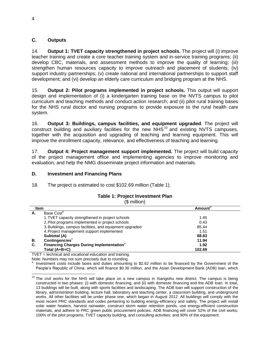## <span id="page-7-0"></span>**C. Outputs**

14. **Output 1: TVET capacity strengthened in project schools.** The project will (i) improve teacher training and create a core teacher training system and in-service training programs; (ii) develop CBC, materials, and assessment methods to improve the quality of learning; (iii) strengthen human resources capacity to improve outreach and placement of students; (iv) support industry partnerships; (v) create national and international partnerships to support staff development; and (vi) develop an elderly care curriculum and bridging program at the NHS.

15. **Output 2: Pilot programs implemented in project schools.** This output will support design and implementation of (i) a kindergarten training base on the NVTS campus to pilot curriculum and teaching methods and conduct action research; and (ii) pilot rural training bases for the NHS rural doctor and nursing programs to provide exposure to the rural health care system.

16. **Output 3: Buildings, campus facilities, and equipment upgraded**. The project will  $\frac{1}{2}$  construct building and auxiliary facilities for the new NHS<sup>10</sup> and existing NVTS campuses. together with the acquisition and upgrading of teaching and learning equipment. This will improve the enrollment capacity, relevance, and effectiveness of teaching and learning.

17. **Output 4: Project management support implemented.** The project will build capacity of the project management office and implementing agencies to improve monitoring and evaluation, and help the NMG disseminate project information and materials.

#### <span id="page-7-1"></span>**D. Investment and Financing Plans**

18. The project is estimated to cost \$102.69 million (Table 1).

|    | $$$ million)                                            |                            |
|----|---------------------------------------------------------|----------------------------|
|    | <b>Item</b>                                             | <b>Amount</b> <sup>a</sup> |
| А. | Base Cost <sup>p</sup>                                  |                            |
|    | 1. TVET capacity strengthened in project schools        | 1.45                       |
|    | 2. Pilot programs implemented in project schools        | 0.43                       |
|    | 3. Buildings, campus facilities, and equipment upgraded | 85.44                      |
|    | 4. Project management support implemented               | 1.51                       |

**Subtotal (A) 088.83**

**Total (A+B+C) 102.69**

# **Table 1: Project Investment Plan**

TVET = technical and vocational education and training.

**C.** Financing Charges During Implementation<sup>d</sup>

**B.** Contingencies<sup>c</sup>

Note: Numbers may not sum precisely due to rounding.<br>a Javoetment costs include taxes and duties emounting.

Investment costs include taxes and duties amounting to \$2.62 million to be financed by the Government of the People's Republic of China, which will finance \$0.30 million, and the Asian Development Bank (ADB) loan, which

**011.94**

**001.92**

  $10$  The civil works for the NHS will take place on a new campus in Xiangsihu new district. The campus is being constructed in two phases: (i) with domestic financing, and (ii) with domestic financing and the ADB loan. In total, 13 buildings will be built, along with sports facilities and landscaping. The ADB loan will support construction of the library, administration building, lecture hall, laboratory and teaching center, a classroom building, and underground works. All other facilities will be under phase one, which began in August 2012. All buildings will comply with the most recent PRC standards and codes pertaining to building energy-efficiency and safety. The project will install solar water heaters, harvest rainwater, construct storm water retention ponds, use energy-efficient construction materials, and adhere to PRC green public procurement policies. ADB financing will cover 52% of the civil works; 100% of the pilot programs, TVET capacity building, and consulting activities; and 90% of the equipment.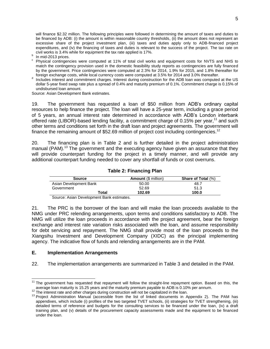will finance \$2.32 million. The following principles were followed in determining the amount of taxes and duties to be financed by ADB: (i) the amount is within reasonable country thresholds, (ii) the amount does not represent an excessive share of the project investment plan, (iii) taxes and duties apply only to ADB-financed project expenditures, and (iv) the financing of taxes and duties is relevant to the success of the project. The tax rate on civil works is 3.4% while for equipment the tax rate applied is 17%.

- b In mid-2013 prices.
- c Physical contingencies were computed at 11% of total civil works and equipment costs for NVTS and NHS to match the contingency provision used in the domestic feasibility study reports as contingencies are fully financed by the government. Price contingencies were computed at 2.3% for 2014, 1.9% for 2015, and 1.8% thereafter for foreign exchange costs, while local currency costs were computed at 3.5% for 2014 and 3.0% thereafter.
- d Includes interest and commitment charges. Interest during construction for the ADB loan was computed at the US dollar 5-year fixed swap rate plus a spread of 0.4% and maturity premium of 0.1%. Commitment charge is 0.15% of undisbursed loan amount.

Source: Asian Development Bank estimates.

19. The government has requested a loan of \$50 million from ADB's ordinary capital resources to help finance the project. The loan will have a 25-year term, including a grace period of 5 years, an annual interest rate determined in accordance with ADB's London interbank offered rate (LIBOR)-based lending facility, a commitment charge of 0.15% per year,<sup>11</sup> and such other terms and conditions set forth in the draft loan and project agreements. The government will finance the remaining amount of \$52.69 million of project cost including contingencies.<sup>12</sup>

20. The financing plan is in Table 2 and is further detailed in the project administration manual (PAM).<sup>13</sup> The government and the executing agency have given an assurance that they will provide counterpart funding for the project in a timely manner, and will provide any additional counterpart funding needed to cover any shortfall of funds or cost overruns.

#### **Table 2: Financing Plan**

| Source                 | <b>Amount (\$ million)</b> | <b>Share of Total (%)</b> |
|------------------------|----------------------------|---------------------------|
| Asian Development Bank | 50.00                      | 48.7                      |
| Government             | 52.69                      | 51.3                      |
| Total                  | 102.69                     | 100.0                     |

Source: Asian Development Bank estimates.

21. The PRC is the borrower of the loan and will make the loan proceeds available to the NMG under PRC relending arrangements, upon terms and conditions satisfactory to ADB. The NMG will utilize the loan proceeds in accordance with the project agreement, bear the foreign exchange and interest rate variation risks associated with the loan, and assume responsibility for debt servicing and repayment. The NMG shall provide most of the loan proceeds to the Xiangsihu Investment and Development Company (XIDC) as the principal implementing agency. The indicative flow of funds and relending arrangements are in the PAM.

#### <span id="page-8-0"></span>**E. Implementation Arrangements**

22. The implementation arrangements are summarized in Table 3 and detailed in the PAM.

 $11$  The government has requested that repayment will follow the straight-line repayment option. Based on this, the average loan maturity is 15.25 years and the maturity premium payable to ADB is 0.10% per annum.

 $12$  The interest rate and other charges during construction will not be capitalized in the loan.

<sup>&</sup>lt;sup>13</sup> Project Administration Manual (accessible from the list of linked documents in Appendix 2). The PAM has appendixes, which include (i) profiles of the two targeted TVET schools, (ii) strategies for TVET strengthening, (iii) detailed terms of reference and budgets for the consulting services to be financed under the loan, (iv) a draft training plan, and (v) details of the procurement capacity assessments made and the equipment to be financed under the loan.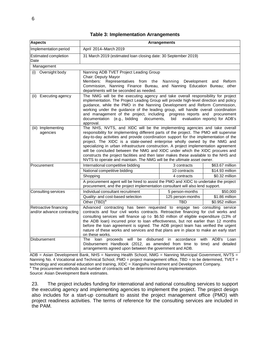#### **Table 3: Implementation Arrangements**

| <b>Aspects</b>                                      |                                                                                                                                                                                                                                                                                                                                                                                                                                                                                                                                                                                                                                                                                        | <b>Arrangements</b>    |                               |
|-----------------------------------------------------|----------------------------------------------------------------------------------------------------------------------------------------------------------------------------------------------------------------------------------------------------------------------------------------------------------------------------------------------------------------------------------------------------------------------------------------------------------------------------------------------------------------------------------------------------------------------------------------------------------------------------------------------------------------------------------------|------------------------|-------------------------------|
| Implementation period                               | April 2014-March 2019                                                                                                                                                                                                                                                                                                                                                                                                                                                                                                                                                                                                                                                                  |                        |                               |
| Estimated completion<br>Date                        | 31 March 2019 (estimated loan closing date: 30 September 2019)                                                                                                                                                                                                                                                                                                                                                                                                                                                                                                                                                                                                                         |                        |                               |
| Management                                          |                                                                                                                                                                                                                                                                                                                                                                                                                                                                                                                                                                                                                                                                                        |                        |                               |
| (i) Oversight body                                  | Nanning ADB TVET Project Leading Group<br>Chair: Deputy Mayor<br>Members: Representatives from the<br>Commission, Nanning Finance Bureau, and Nanning Education Bureau; other<br>departments will be seconded as needed.                                                                                                                                                                                                                                                                                                                                                                                                                                                               | Nanning<br>Development | Reform<br>and                 |
| (ii) Executing agency                               | The NMG will be the executing agency and take overall responsibility for project<br>implementation. The Project Leading Group will provide high-level direction and policy<br>guidance, while the PMO in the Nanning Development and Reform Commission,<br>working under the guidance of the leading group, will handle overall coordination<br>and management of the project, including progress reports and procurement<br>documentation (e.g., bidding<br>documents,<br>approval.                                                                                                                                                                                                   | bid                    | evaluation reports) for ADB's |
| (iii) Implementing<br>agencies                      | The NHS, NVTS, and XIDC will be the implementing agencies and take overall<br>responsibility for implementing different parts of the project. The PMO will supervise<br>day-to-day activities and provide coordination support for the implementation of the<br>project. The XIDC is a state-owned enterprise wholly owned by the NMG and<br>specializing in urban infrastructure construction. A project implementation agreement<br>will be concluded between the NMG and XIDC under which the XIDC procures and<br>constructs the project facilities and then later makes these available to the NHS and<br>NVTS to operate and maintain. The NMG will be the ultimate asset owner. |                        |                               |
| Procurement                                         | International competitive bidding                                                                                                                                                                                                                                                                                                                                                                                                                                                                                                                                                                                                                                                      | 3 contracts            | \$63.67 million               |
|                                                     | National competitive bidding                                                                                                                                                                                                                                                                                                                                                                                                                                                                                                                                                                                                                                                           | 10 contracts           | \$14.93 million               |
|                                                     | Shopping                                                                                                                                                                                                                                                                                                                                                                                                                                                                                                                                                                                                                                                                               | 4 contracts            | \$0.32 million                |
|                                                     | A procurement agent will be hired to assist the PMO and XIDC to undertake the project<br>procurement, and the project implementation consultant will also lend support.                                                                                                                                                                                                                                                                                                                                                                                                                                                                                                                |                        |                               |
| Consulting services                                 | Individual consultant recruitment                                                                                                                                                                                                                                                                                                                                                                                                                                                                                                                                                                                                                                                      | 5 person-months        | \$50,000                      |
|                                                     | Quality- and cost-based selection                                                                                                                                                                                                                                                                                                                                                                                                                                                                                                                                                                                                                                                      | 125 person-months      | \$1.86 million                |
|                                                     | Other (TBD) <sup>a</sup>                                                                                                                                                                                                                                                                                                                                                                                                                                                                                                                                                                                                                                                               | <b>TBD</b>             | $$0.952$ million              |
| Retroactive financing<br>and/or advance contracting | Advanced contracting has been requested to engage two consulting service<br>contracts and four civil works contracts. Retroactive financing for civil works and<br>consulting services will finance up to \$6.50 million of eligible expenditure (13% of<br>the ADB loan) incurred prior to loan effectiveness, but not earlier than 12 months<br>before the loan agreement is signed. The ADB project team has verified the urgent<br>nature of these works and services and that plans are in place to make an early start<br>on these works.                                                                                                                                        |                        |                               |
| Disbursement                                        | will<br>be<br>disbursed<br>The<br>loan<br>proceeds<br>Disbursement Handbook (2012, as amended from time to time) and detailed<br>arrangements agreed upon between the government and ADB.                                                                                                                                                                                                                                                                                                                                                                                                                                                                                              | accordance<br>in.      | with<br>ADB's<br>Loan         |

ADB = Asian Development Bank, NHS = Nanning Health School, NMG = Nanning Municipal Government, NVTS = Nanning No. 4 Vocational and Technical School, PMO = project management office, TBD = to be determined, TVET = technology and vocational education and training, XIDC = Xiangsihu Investment and Development Company. <sup>a</sup> The procurement methods and number of contracts will be determined during implementation.

Source: Asian Development Bank estimates.

<span id="page-9-0"></span>23. The project includes funding for international and national consulting services to support the executing agency and implementing agencies to implement the project. The project design also includes for a start-up consultant to assist the project management office (PMO) with project readiness activities. The terms of reference for the consulting services are included in the PAM.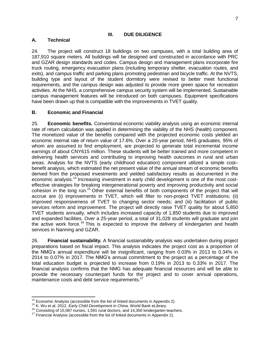#### **III. DUE DILIGENCE**

## <span id="page-10-0"></span>**A. Technical**

24. The project will construct 18 buildings on two campuses, with a total building area of 187,910 square meters. All buildings will be designed and constructed in accordance with PRC and GZAR design standards and codes. Campus design and management plans incorporate fire truck routing, emergency evacuation plans (including temporary shelter, evacuation routes, and exits), and campus traffic and parking plans promoting pedestrian and bicycle traffic. At the NVTS, building type and layout of the student dormitory were revised to better meet functional requirements, and the campus design was adjusted to provide more green space for recreation activities. At the NHS, a comprehensive campus security system will be implemented. Sustainable campus management features will be introduced on both campuses. Equipment specifications have been drawn up that is compatible with the improvements in TVET quality.

## <span id="page-10-1"></span>**B. Economic and Financial**

25. **Economic benefits.** Conventional economic viability analysis using an economic internal rate of return calculation was applied in determining the viability of the NHS (health) component. The monetized value of the benefits compared with the projected economic costs yielded an economic internal rate of return value of 17.6%. Over a 20-year period, NHS graduates, 95% of whom are assumed to find employment, are projected to generate total incremental income earnings of about CNY615 million. These students will be better trained and more competent in delivering health services and contributing to improving health outcomes in rural and urban areas. Analysis for the NVTS (early childhood education) component utilized a simple cost– benefit analysis, which estimated the net present value of the annual stream of economic benefits derived from the proposed investments and yielded satisfactory results as documented in the economic analysis.<sup>14</sup> Increasing investment in early child development is one of the most costeffective strategies for breaking intergenerational poverty and improving productivity and social cohesion in the long run.<sup>15</sup> Other external benefits of both components of the project that will accrue are (i) improvements in TVET, which will filter to non-project TVET institutions; (ii) improved responsiveness of TVET to changing sector needs; and (iii) facilitation of public services reform and improvement. The project will directly raise TVET quality for about 5,850 TVET students annually, which includes increased capacity of 1,850 students due to improved and expanded facilities. Over a 25-year period, a total of 31,028 students will graduate and join the active work force.<sup>16</sup> This is expected to improve the delivery of kindergarten and health services in Nanning and GZAR.

26. **Financial sustainability.** A financial sustainability analysis was undertaken during project preparations based on fiscal impact. This analysis indicates the project cost as a proportion of the NMG's annual expenditure will be insignificant, ranging from 0.03% in 2013 to 0.34% in 2014 to 0.07% in 2017. The NMG's annual commitment to the project as a percentage of the total education budget is projected to increase from 0.19% in 2013 to 0.33% in 2017. The financial analysis confirms that the NMG has adequate financial resources and will be able to provide the necessary counterpart funds for the project and to cover annual operations, maintenance costs and debt service requirements.<sup>17</sup>

 $\overline{a}$  $14$  Economic Analysis (accessible from the list of linked documents in Appendix 2).

<sup>15</sup> K. Wu et al. 2012. *Early Child Development in China*. World Bank eLibrary.

 $16$  Consisting of 15,087 nurses, 1,591 rural doctors, and 14,350 kindergarten teachers.

 $17$  Financial Analysis (accessible from the list of linked documents in Appendix 2).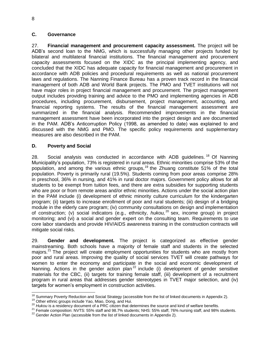## <span id="page-11-0"></span>**C. Governance**

27. **Financial management and procurement capacity assessment.** The project will be ADB's second loan to the NMG, which is successfully managing other projects funded by bilateral and multilateral financial institutions. The financial management and procurement capacity assessments focused on the XIDC as the principal implementing agency, and concluded that the XIDC has adequate capacity for financial management and procurement in accordance with ADB policies and procedural requirements as well as national procurement laws and regulations. The Nanning Finance Bureau has a proven track record in the financial management of both ADB and World Bank projects. The PMO and TVET institutions will not have major roles in project financial management and procurement. The project management output includes providing training and advice to the PMO and implementing agencies in ADB procedures, including procurement, disbursement, project management, accounting, and financial reporting systems. The results of the financial management assessment are summarized in the financial analysis. Recommended improvements in the financial management assessment have been incorporated into the project design and are documented in the PAM. ADB's Anticorruption Policy (1998, as amended to date) was explained to and discussed with the NMG and PMO. The specific policy requirements and supplementary measures are also described in the PAM.

## <span id="page-11-1"></span>**D. Poverty and Social**

28. Social analysis was conducted in accordance with ADB guidelines.<sup>18</sup> Of Nanning Municipality's population, 73% is registered in rural areas. Ethnic minorities comprise 53% of the population, and among the various ethnic groups,<sup>19</sup> the Zhuang constitute 51% of the total population. Poverty is primarily rural (19.5%). Students coming from poor areas comprise 28% in preschool, 36% in nursing, and 41% in rural doctor majors. Government policy allows for all students to be exempt from tuition fees, and there are extra subsidies for supporting students who are poor or from remote areas and/or ethnic minorities. Actions under the social action plan in the PAM include (i) development of ethnic minority culture curriculum for the kindergarten program; (ii) targets to increase enrollment of poor and rural students; (iii) design of a bridging module in the elderly care program; (iv) community consultations on design and implementation of construction; (v) social indicators (e.g., ethnicity, *hukou*, <sup>20</sup> sex, income group) in project monitoring; and (vi) a social and gender expert on the consulting team. Requirements to use core labor standards and provide HIV/AIDS awareness training in the construction contracts will mitigate social risks.

29. **Gender and development.** The project is categorized as effective gender mainstreaming. Both schools have a majority of female staff and students in the selected majors.<sup>21</sup> The project will create employment opportunities for students who are mostly from poor and rural areas. Improving the quality of social services TVET will create pathways for women to enter the economy and participate in the social and economic development of Nanning. Actions in the gender action plan<sup>22</sup> include (i) development of gender sensitive materials for the CBC, (ii) targets for training female staff, (iii) development of a recruitment program in rural areas that addresses gender stereotypes in TVET major selection, and (iv) targets for women's employment in construction activities.

 $\overline{a}$  $18$  Summary Poverty Reduction and Social Strategy (accessible from the list of linked documents in Appendix 2).

<sup>&</sup>lt;sup>19</sup> Other ethnic groups include Yao, Miao, Dong, and Hui.

<sup>&</sup>lt;sup>20</sup> Hukou is a residency document of a PRC citizen that determines the source and kind of welfare benefits.

<sup>&</sup>lt;sup>21</sup> Female composition: NVTS: 55% staff and 98.7% students; NHS: 55% staff, 76% nursing staff, and 98% students.

 $22$  Gender Action Plan (accessible from the list of linked documents in Appendix 2).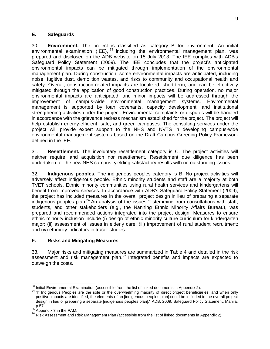## <span id="page-12-0"></span>**E. Safeguards**

30. **Environment.** The project is classified as category B for environment. An initial environmental examination (IEE),  $^{23}$  including the environmental management plan, was prepared and disclosed on the ADB website on 15 July 2013. The IEE complies with ADB's Safeguard Policy Statement (2009). The IEE concludes that the project's anticipated environmental impacts can be mitigated through implementation of the environmental management plan. During construction, some environmental impacts are anticipated, including noise, fugitive dust, demolition wastes, and risks to community and occupational health and safety. Overall, construction-related impacts are localized, short-term, and can be effectively mitigated through the application of good construction practices. During operation, no major environmental impacts are anticipated, and minor impacts will be addressed through the improvement of campus-wide environmental management systems. Environmental management is supported by loan covenants, capacity development, and institutional strengthening activities under the project. Environmental complaints or disputes will be handled in accordance with the grievance redress mechanism established for the project. The project will help establish energy-efficient, safe, and green campuses. The consulting services under the project will provide expert support to the NHS and NVTS in developing campus-wide environmental management systems based on the Draft Campus Greening Policy Framework defined in the IEE.

31. **Resettlement.** The involuntary resettlement category is C. The project activities will neither require land acquisition nor resettlement. Resettlement due diligence has been undertaken for the new NHS campus, yielding satisfactory results with no outstanding issues.

32. **Indigenous peoples.** The indigenous peoples category is B. No project activities will adversely affect indigenous people. Ethnic minority students and staff are a majority at both TVET schools. Ethnic minority communities using rural health services and kindergartens will benefit from improved services. In accordance with ADB's Safeguard Policy Statement (2009), the project has included measures in the overall project design in lieu of preparing a separate indigenous peoples plan.<sup>24</sup> An analysis of the issues,<sup>25</sup> stemming from consultations with staff, students, and other stakeholders (e.g., the Nanning Ethnic Minority Affairs Bureau), was prepared and recommended actions integrated into the project design. Measures to ensure ethnic minority inclusion include (i) design of ethnic minority culture curriculum for kindergarten major; (ii) assessment of issues in elderly care; (iii) improvement of rural student recruitment; and (iv) ethnicity indicators in tracer studies.

## <span id="page-12-1"></span>**F. Risks and Mitigating Measures**

33. Major risks and mitigating measures are summarized in Table 4 and detailed in the risk assessment and risk management plan.<sup>26</sup> Integrated benefits and impacts are expected to outweigh the costs.

 $\overline{a}$  $^{23}$  Initial Environmental Examination (accessible from the list of linked documents in Appendix 2).

<sup>&</sup>lt;sup>24</sup> "If Indigenous Peoples are the sole or the overwhelming majority of direct project beneficiaries, and when only positive impacts are identified, the elements of an [indigenous peoples plan] could be included in the overall project design in lieu of preparing a separate [indigenous peoples plan]." ADB. 2009. Safeguard Policy Statement. Manila. p 57.

 $^{25}$  Appendix 3 in the PAM.

<sup>26</sup> Risk Assessment and Risk Management Plan (accessible from the list of linked documents in Appendix 2).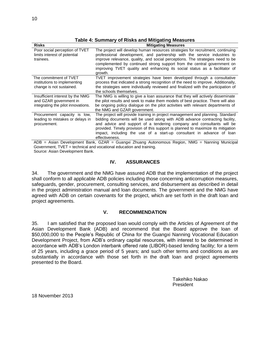| <b>Risks</b>                                                                                     | <b>Mitigating Measures</b>                                                                                                                                                                                                                                                                                                                                                                                            |
|--------------------------------------------------------------------------------------------------|-----------------------------------------------------------------------------------------------------------------------------------------------------------------------------------------------------------------------------------------------------------------------------------------------------------------------------------------------------------------------------------------------------------------------|
| Poor social perception of TVET<br>limits interest of potential<br>trainees.                      | The project will develop human resources strategies for recruitment, continuing<br>professional development, and partnership with the service industries to<br>improve relevance, quality, and social perceptions. The strategies need to be<br>complemented by continued strong support from the central government on<br>improving TVET quality and enhancing its social status as a facilitator of<br>growth.      |
| The commitment of TVET<br>institutions to implementing<br>change is not sustained.               | TVET improvement strategies have been developed through a consultative<br>process that indicated a strong recognition of the need to improve. Additionally,<br>the strategies were individually reviewed and finalized with the participation of<br>the schools themselves.                                                                                                                                           |
| Insufficient interest by the NMG<br>and GZAR government in<br>integrating the pilot innovations. | The NMG is willing to give a loan assurance that they will actively disseminate<br>the pilot results and seek to make them models of best practice. There will also<br>be ongoing policy dialogue on the pilot activities with relevant departments of<br>the NMG and GZAR government.                                                                                                                                |
| Procurement capacity is low,<br>leading to mistakes or delays in<br>procurement.                 | The project will provide training in project management and planning. Standard<br>bidding documents will be used along with ADB advance contracting facility,<br>and advice and support of a tendering company and consultants will be<br>provided. Timely provision of this support is planned to maximize its mitigation<br>impact, including the use of a start-up consultant in advance of loan<br>effectiveness. |

#### **Table 4: Summary of Risks and Mitigating Measures**

ADB = Asian Development Bank, GZAR = Guangxi Zhuang Autonomous Region, NMG = Nanning Municipal Government, TVET = technical and vocational education and training. Source: Asian Development Bank.

#### **IV. ASSURANCES**

<span id="page-13-0"></span>34. The government and the NMG have assured ADB that the implementation of the project shall conform to all applicable ADB policies including those concerning anticorruption measures, safeguards, gender, procurement, consulting services, and disbursement as described in detail in the project administration manual and loan documents. The government and the NMG have agreed with ADB on certain covenants for the project, which are set forth in the draft loan and project agreements.

#### **V. RECOMMENDATION**

<span id="page-13-1"></span>35. I am satisfied that the proposed loan would comply with the Articles of Agreement of the Asian Development Bank (ADB) and recommend that the Board approve the loan of \$50,000,000 to the People's Republic of China for the Guangxi Nanning Vocational Education Development Project, from ADB's ordinary capital resources, with interest to be determined in accordance with ADB's London interbank offered rate (LIBOR)-based lending facility; for a term of 25 years, including a grace period of 5 years; and such other terms and conditions as are substantially in accordance with those set forth in the draft loan and project agreements presented to the Board.

> Takehiko Nakao President

18 November 2013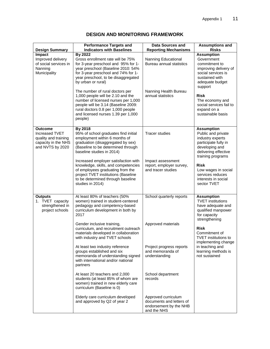| <b>Performance Targets and</b><br><b>Indicators with Baselines</b><br><b>By 2022</b><br>Gross enrollment rate will be 75%<br>for 3-year preschool and 95% for 1-<br>year preschool (Baseline 2010: 54%                                                                                                                                                                                                                                                                                                                                                                                                                                                                     | <b>Data Sources and</b><br><b>Reporting Mechanisms</b><br>Nanning Educational                                                                                                                      | <b>Assumptions and</b><br><b>Risks</b><br><b>Assumption</b>                                                                                                                                                                                                         |
|----------------------------------------------------------------------------------------------------------------------------------------------------------------------------------------------------------------------------------------------------------------------------------------------------------------------------------------------------------------------------------------------------------------------------------------------------------------------------------------------------------------------------------------------------------------------------------------------------------------------------------------------------------------------------|----------------------------------------------------------------------------------------------------------------------------------------------------------------------------------------------------|---------------------------------------------------------------------------------------------------------------------------------------------------------------------------------------------------------------------------------------------------------------------|
|                                                                                                                                                                                                                                                                                                                                                                                                                                                                                                                                                                                                                                                                            |                                                                                                                                                                                                    |                                                                                                                                                                                                                                                                     |
| for 3-year preschool and 74% for 1-<br>year preschool, to be disaggregated<br>by urban or rural)<br>The number of rural doctors per<br>1,000 people will be 2.10 and the<br>number of licensed nurses per 1,000<br>people will be 3.14 (Baseline 2009:<br>rural doctors 0.8 per 1,000 people<br>and licensed nurses 1.39 per 1,000<br>people)                                                                                                                                                                                                                                                                                                                              | Bureau annual statistics<br>Nanning Health Bureau<br>annual statistics                                                                                                                             | Government<br>commitment to<br>improving delivery of<br>social services is<br>sustained with<br>adequate budget<br>support<br><b>Risk</b><br>The economy and<br>social services fail to<br>expand on a<br>sustainable basis                                         |
| By 2018<br>95% of school graduates find initial<br>employment within 6 months of<br>graduation (disaggregated by sex)<br>(Baseline to be determined through<br>baseline studies in 2014)<br>Increased employer satisfaction with<br>knowledge, skills, and competencies<br>of employees graduating from the<br>project TVET institutions (Baseline<br>to be determined through baseline<br>studies in 2014)                                                                                                                                                                                                                                                                | <b>Tracer studies</b><br>Impact assessment<br>report, employer survey,<br>and tracer studies                                                                                                       | <b>Assumption</b><br>Public and private<br>industry experts<br>participate fully in<br>developing and<br>delivering effective<br>training programs<br><b>Risk</b><br>Low wages in social<br>services reduces<br>interests in social<br>sector TVET                  |
| At least 80% of teachers (50%<br>women) trained in student-centered<br>pedagogy and competency-based<br>curriculum development in both by<br>2017<br>Gender inclusive training,<br>curriculum, and recruitment outreach<br>materials developed in collaboration<br>with industry and TVET schools<br>At least two industry reference<br>groups established and six<br>memoranda of understanding signed<br>with international and/or national<br>partners<br>At least 20 teachers and 2,000<br>students (at least 85% of whom are<br>women) trained in new elderly care<br>curriculum (Baseline is 0)<br>Elderly care curriculum developed<br>and approved by Q2 of year 2 | School quarterly reports<br>Approved materials<br>Project progress reports<br>and memoranda of<br>understanding<br>School department<br>records<br>Approved curriculum<br>documents and letters of | <b>Assumption</b><br><b>TVET</b> institutions<br>have adequate and<br>qualified manpower<br>for capacity<br>strengthening<br><b>Risk</b><br>Commitment of<br>TVET institutions to<br>implementing change<br>in teaching and<br>learning methods is<br>not sustained |
|                                                                                                                                                                                                                                                                                                                                                                                                                                                                                                                                                                                                                                                                            |                                                                                                                                                                                                    | endorsement by the NHB<br>and the NHS                                                                                                                                                                                                                               |

## **DESIGN AND MONITORING FRAMEWORK**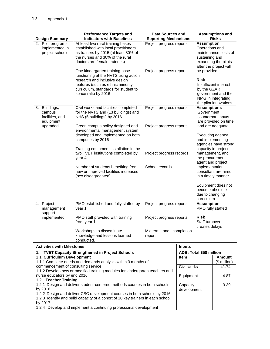|    | <b>Design Summary</b>                                            | <b>Performance Targets and</b><br><b>Indicators with Baselines</b>                                                                                                                                                                       | <b>Data Sources and</b><br><b>Reporting Mechanisms</b>       |               |                                                                                                            | <b>Assumptions and</b><br><b>Risks</b>                                                                                         |
|----|------------------------------------------------------------------|------------------------------------------------------------------------------------------------------------------------------------------------------------------------------------------------------------------------------------------|--------------------------------------------------------------|---------------|------------------------------------------------------------------------------------------------------------|--------------------------------------------------------------------------------------------------------------------------------|
|    | 2. Pilot programs<br>implemented in<br>project schools           | At least two rural training bases<br>established with local practitioners<br>as trainers by 2015 (at least 80% of<br>the nurses and 30% of the rural<br>doctors are female trainees)                                                     | Project progress reports                                     |               | <b>Assumption</b><br>Operations and<br>sustaining and                                                      | maintenance costs of<br>expanding the pilots<br>after the project will                                                         |
|    |                                                                  | One kindergarten training base<br>functioning at the NVTS using action<br>research and inclusive design<br>features (such as ethnic minority<br>curriculum, standards for student to<br>space ratio by 2016                              | Project progress reports                                     |               | be provided<br><b>Risk</b><br>by the GZAR                                                                  | Insufficient interest<br>government and the<br>NMG in integrating<br>the pilot innovations                                     |
| 3. | Buildings,<br>campus<br>facilities, and<br>equipment<br>upgraded | Civil works and facilities completed<br>for the NVTS and (13 buildings) and<br>NHS (5 buildings) by 2016<br>Green campus policy designed and<br>environmental management system<br>developed and implemented on both<br>campuses by 2016 | Project progress reports<br>Project progress reports         |               | <b>Assumptions</b><br>Government                                                                           | counterpart inputs<br>are provided on time<br>and are adequate<br>Executing agency<br>and implementing<br>agencies have strong |
|    |                                                                  | Training equipment installation in the<br>two TVET institutions completed by<br>year 4<br>Number of students benefiting from<br>new or improved facilities increased<br>(sex disaggregated)                                              | Project progress records<br>School records                   |               | the procurement<br>agent and project<br>implementation<br>become obsolete<br>due to changing<br>curriculum | capacity in project<br>management, and<br>consultant are hired<br>in a timely manner<br>Equipment does not                     |
|    | 4. Project<br>management<br>support                              | PMO established and fully staffed by<br>year 1                                                                                                                                                                                           | Project progress reports                                     |               | <b>Assumption</b><br>PMO fully staffed                                                                     |                                                                                                                                |
|    | implemented                                                      | PMO staff provided with training<br>from year 1<br>Workshops to disseminate<br>knowledge and lessons learned<br>conducted.                                                                                                               | Project progress reports<br>Midterm and completion<br>report |               | <b>Risk</b><br>Staff turnover<br>creates delays                                                            |                                                                                                                                |
|    | <b>Activities with Milestones</b>                                |                                                                                                                                                                                                                                          |                                                              | <b>Inputs</b> |                                                                                                            |                                                                                                                                |
| 1. |                                                                  | <b>TVET Capacity Strengthened in Project Schools</b>                                                                                                                                                                                     |                                                              |               | ADB: Total \$50 million                                                                                    |                                                                                                                                |
|    | 1.1 Curriculum Development                                       | 1.1.1 Complete needs and demands analysis within 3 months of                                                                                                                                                                             |                                                              | <b>Item</b>   |                                                                                                            | <b>Amount</b><br>(\$ million)                                                                                                  |
|    | commencement of consulting service                               |                                                                                                                                                                                                                                          |                                                              | Civil works   |                                                                                                            | 41.74                                                                                                                          |
|    | nurse educators by end 2016<br>1.2 Teacher Training              | 1.1.2 Develop new or modified training modules for kindergarten teachers and                                                                                                                                                             |                                                              | Equipment     |                                                                                                            | 4.87                                                                                                                           |

1.2.1 Design and deliver student-centered methods courses in both schools by 2016 1.2.2 Design and deliver CBC development courses in both schools by 2016 1.2.3 Identify and build capacity of a cohort of 10 key trainers in each school by 2017 Capacity development 3.39

1.2.4 Develop and implement a continuing professional development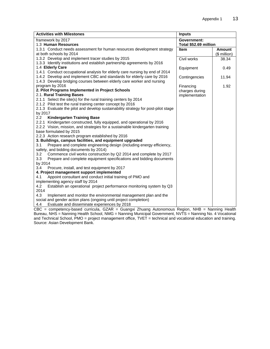| framework by 2017<br><b>Government:</b><br>1.3 Human Resources<br>Total \$52.69 million<br>1.3.1 Conduct needs assessment for human resources development strategy<br><b>Amount</b><br><b>Item</b><br>at both schools by 2014<br>(\$ million)<br>1.3.2 Develop and implement tracer studies by 2015<br>Civil works<br>38.34<br>1.3.3 Identify institutions and establish partnership agreements by 2016<br>1.4 Elderly Care<br>Equipment<br>0.49<br>1.4.1 Conduct occupational analysis for elderly care nursing by end of 2014 |
|---------------------------------------------------------------------------------------------------------------------------------------------------------------------------------------------------------------------------------------------------------------------------------------------------------------------------------------------------------------------------------------------------------------------------------------------------------------------------------------------------------------------------------|
|                                                                                                                                                                                                                                                                                                                                                                                                                                                                                                                                 |
|                                                                                                                                                                                                                                                                                                                                                                                                                                                                                                                                 |
|                                                                                                                                                                                                                                                                                                                                                                                                                                                                                                                                 |
|                                                                                                                                                                                                                                                                                                                                                                                                                                                                                                                                 |
|                                                                                                                                                                                                                                                                                                                                                                                                                                                                                                                                 |
|                                                                                                                                                                                                                                                                                                                                                                                                                                                                                                                                 |
|                                                                                                                                                                                                                                                                                                                                                                                                                                                                                                                                 |
|                                                                                                                                                                                                                                                                                                                                                                                                                                                                                                                                 |
| 1.4.2 Develop and implement CBC and standards for elderly care by 2016<br>Contingencies<br>11.94                                                                                                                                                                                                                                                                                                                                                                                                                                |
| 1.4.3 Develop bridging courses between elderly care worker and nursing                                                                                                                                                                                                                                                                                                                                                                                                                                                          |
| program by 2016<br>1.92<br>Financing                                                                                                                                                                                                                                                                                                                                                                                                                                                                                            |
| 2. Pilot Programs Implemented in Project Schools<br>charges during                                                                                                                                                                                                                                                                                                                                                                                                                                                              |
| 2.1. Rural Training Bases<br>implementation                                                                                                                                                                                                                                                                                                                                                                                                                                                                                     |
| 2.1.1 Select the site(s) for the rural training centers by 2014                                                                                                                                                                                                                                                                                                                                                                                                                                                                 |
| 2.1.2 Pilot test the rural training center concept by 2016                                                                                                                                                                                                                                                                                                                                                                                                                                                                      |
| 2.1.3 Evaluate the pilot and develop sustainability strategy for post-pilot stage                                                                                                                                                                                                                                                                                                                                                                                                                                               |
| by 2017                                                                                                                                                                                                                                                                                                                                                                                                                                                                                                                         |
| <b>Kindergarten Training Base</b><br>$2.2^{\circ}$                                                                                                                                                                                                                                                                                                                                                                                                                                                                              |
| 2.2.1 Kindergarten constructed, fully equipped, and operational by 2016                                                                                                                                                                                                                                                                                                                                                                                                                                                         |
| 2.2.2 Vision, mission, and strategies for a sustainable kindergarten training                                                                                                                                                                                                                                                                                                                                                                                                                                                   |
| base formulated by 2015                                                                                                                                                                                                                                                                                                                                                                                                                                                                                                         |
| 2.2.3 Action research program established by 2016                                                                                                                                                                                                                                                                                                                                                                                                                                                                               |
| 3. Buildings, campus facilities, and equipment upgraded                                                                                                                                                                                                                                                                                                                                                                                                                                                                         |
| 3.1<br>Prepare and complete engineering design (including energy efficiency,                                                                                                                                                                                                                                                                                                                                                                                                                                                    |
| safety, and bidding documents by 2014)                                                                                                                                                                                                                                                                                                                                                                                                                                                                                          |
| Commence civil works construction by Q2 2014 and complete by 2017<br>3.2                                                                                                                                                                                                                                                                                                                                                                                                                                                        |
| Prepare and complete equipment specifications and bidding documents<br>3.3                                                                                                                                                                                                                                                                                                                                                                                                                                                      |
| by 2014                                                                                                                                                                                                                                                                                                                                                                                                                                                                                                                         |
| 3.4<br>Procure, install, and test equipment by 2017                                                                                                                                                                                                                                                                                                                                                                                                                                                                             |
| 4. Project management support implemented                                                                                                                                                                                                                                                                                                                                                                                                                                                                                       |
| Appoint consultant and conduct initial training of PMO and<br>4.1                                                                                                                                                                                                                                                                                                                                                                                                                                                               |
| implementing agency staff by 2014                                                                                                                                                                                                                                                                                                                                                                                                                                                                                               |
| Establish an operational project performance monitoring system by Q3<br>4.2                                                                                                                                                                                                                                                                                                                                                                                                                                                     |
| 2014<br>4.3                                                                                                                                                                                                                                                                                                                                                                                                                                                                                                                     |
| Implement and monitor the environmental management plan and the<br>social and gender action plans (ongoing until project completion)                                                                                                                                                                                                                                                                                                                                                                                            |
| Evaluate and disseminate experiences by 2018<br>4.4                                                                                                                                                                                                                                                                                                                                                                                                                                                                             |

CBC = competency-based curricula, GZAR = Guangxi Zhuang Autonomous Region, NHB = Nanning Health Bureau, NHS = Nanning Health School, NMG = Nanning Municipal Government, NVTS = Nanning No. 4 Vocational and Technical School, PMO = project management office, TVET = technical and vocational education and training. Source: Asian Development Bank.